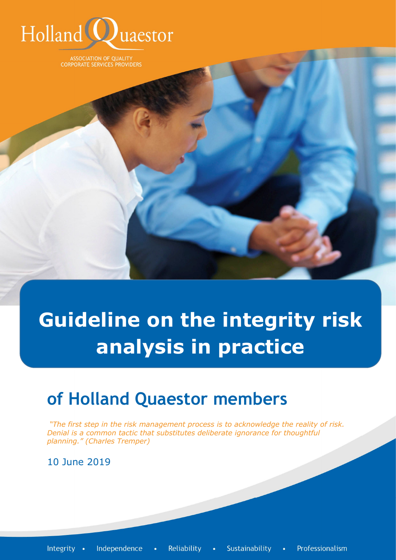

**ASSOCIATION OF QUALITY CORPORATE SERVICES PROVIDERS** 

**Guideline on the integrity risk analysis in practice**

# **of Holland Quaestor members**

*"The first step in the risk management process is to acknowledge the reality of risk. Denial is a common tactic that substitutes deliberate ignorance for thoughtful planning." (Charles Tremper)*

10 June 2019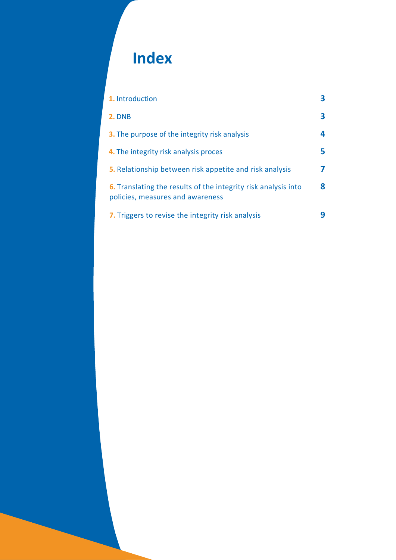# **Index**

| 1. Introduction                                                                                           |    |
|-----------------------------------------------------------------------------------------------------------|----|
| <b>2. DNB</b>                                                                                             | з  |
| <b>3.</b> The purpose of the integrity risk analysis                                                      | 4  |
| 4. The integrity risk analysis proces                                                                     | 5. |
| <b>5.</b> Relationship between risk appetite and risk analysis                                            |    |
| <b>6.</b> Translating the results of the integrity risk analysis into<br>policies, measures and awareness | 8  |
| 7. Triggers to revise the integrity risk analysis                                                         |    |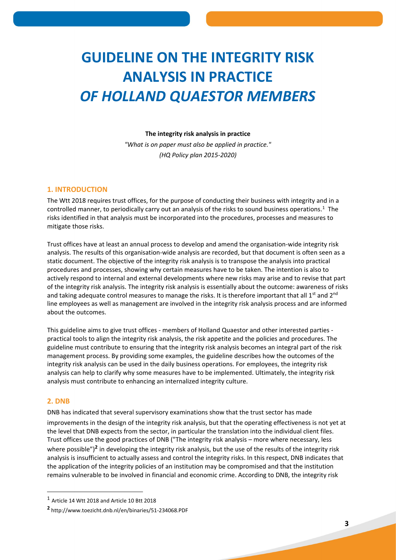## **GUIDELINE ON THE INTEGRITY RISK ANALYSIS IN PRACTICE** *OF HOLLAND QUAESTOR MEMBERS*

#### **The integrity risk analysis in practice**

*"What is on paper must also be applied in practice." (HQ Policy plan 2015-2020)*

#### **1. INTRODUCTION**

The Wtt 2018 requires trust offices, for the purpose of conducting their business with integrity and in a controlled manner, to periodically carry out an analysis of the risks to sound business operations.<sup>1</sup> The risks identified in that analysis must be incorporated into the procedures, processes and measures to mitigate those risks.

Trust offices have at least an annual process to develop and amend the organisation-wide integrity risk analysis. The results of this organisation-wide analysis are recorded, but that document is often seen as a static document. The objective of the integrity risk analysis is to transpose the analysis into practical procedures and processes, showing why certain measures have to be taken. The intention is also to actively respond to internal and external developments where new risks may arise and to revise that part of the integrity risk analysis. The integrity risk analysis is essentially about the outcome: awareness of risks and taking adequate control measures to manage the risks. It is therefore important that all  $1<sup>st</sup>$  and  $2<sup>nd</sup>$ line employees as well as management are involved in the integrity risk analysis process and are informed about the outcomes.

This guideline aims to give trust offices - members of Holland Quaestor and other interested parties practical tools to align the integrity risk analysis, the risk appetite and the policies and procedures. The guideline must contribute to ensuring that the integrity risk analysis becomes an integral part of the risk management process. By providing some examples, the guideline describes how the outcomes of the integrity risk analysis can be used in the daily business operations. For employees, the integrity risk analysis can help to clarify why some measures have to be implemented. Ultimately, the integrity risk analysis must contribute to enhancing an internalized integrity culture.

#### **2. DNB**

-

DNB has indicated that several supervisory examinations show that the trust sector has made

improvements in the design of the integrity risk analysis, but that the operating effectiveness is not yet at the level that DNB expects from the sector, in particular the translation into the individual client files. Trust offices use the good practices of DNB ("The integrity risk analysis – more where necessary, less where possible")<sup>2</sup> in developing the integrity risk analysis, but the use of the results of the integrity risk analysis is insufficient to actually assess and control the integrity risks. In this respect, DNB indicates that the application of the integrity policies of an institution may be compromised and that the institution remains vulnerable to be involved in financial and economic crime. According to DNB, the integrity risk

 $<sup>1</sup>$  Article 14 Wtt 2018 and Article 10 Btt 2018</sup>

**<sup>2</sup>** http://www.toezicht.dnb.nl/en/binaries/51-234068.PDF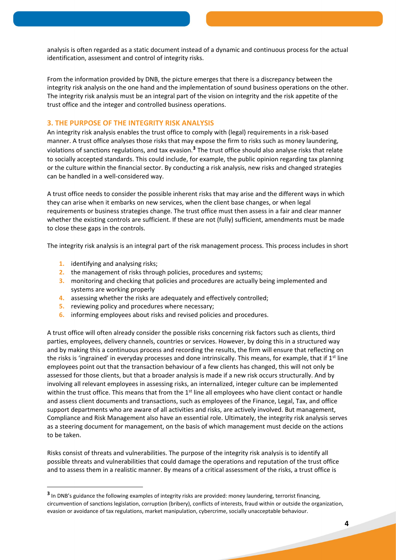analysis is often regarded as a static document instead of a dynamic and continuous process for the actual identification, assessment and control of integrity risks.

From the information provided by DNB, the picture emerges that there is a discrepancy between the integrity risk analysis on the one hand and the implementation of sound business operations on the other. The integrity risk analysis must be an integral part of the vision on integrity and the risk appetite of the trust office and the integer and controlled business operations.

### **3. THE PURPOSE OF THE INTEGRITY RISK ANALYSIS**

An integrity risk analysis enables the trust office to comply with (legal) requirements in a risk-based manner. A trust office analyses those risks that may expose the firm to risks such as money laundering, violations of sanctions regulations, and tax evasion.**<sup>3</sup>** The trust office should also analyse risks that relate to socially accepted standards. This could include, for example, the public opinion regarding tax planning or the culture within the financial sector. By conducting a risk analysis, new risks and changed strategies can be handled in a well-considered way.

A trust office needs to consider the possible inherent risks that may arise and the different ways in which they can arise when it embarks on new services, when the client base changes, or when legal requirements or business strategies change. The trust office must then assess in a fair and clear manner whether the existing controls are sufficient. If these are not (fully) sufficient, amendments must be made to close these gaps in the controls.

The integrity risk analysis is an integral part of the risk management process. This process includes in short

**1.** identifying and analysing risks;

-

- **2.** the management of risks through policies, procedures and systems;
- **3.** monitoring and checking that policies and procedures are actually being implemented and systems are working properly
- **4.** assessing whether the risks are adequately and effectively controlled;
- **5.** reviewing policy and procedures where necessary;
- **6.** informing employees about risks and revised policies and procedures.

A trust office will often already consider the possible risks concerning risk factors such as clients, third parties, employees, delivery channels, countries or services. However, by doing this in a structured way and by making this a continuous process and recording the results, the firm will ensure that reflecting on the risks is 'ingrained' in everyday processes and done intrinsically. This means, for example, that if  $1<sup>st</sup>$  line employees point out that the transaction behaviour of a few clients has changed, this will not only be assessed for those clients, but that a broader analysis is made if a new risk occurs structurally. And by involving all relevant employees in assessing risks, an internalized, integer culture can be implemented within the trust office. This means that from the  $1<sup>st</sup>$  line all employees who have client contact or handle and assess client documents and transactions, such as employees of the Finance, Legal, Tax, and office support departments who are aware of all activities and risks, are actively involved. But management, Compliance and Risk Management also have an essential role. Ultimately, the integrity risk analysis serves as a steering document for management, on the basis of which management must decide on the actions to be taken.

Risks consist of threats and vulnerabilities. The purpose of the integrity risk analysis is to identify all possible threats and vulnerabilities that could damage the operations and reputation of the trust office and to assess them in a realistic manner. By means of a critical assessment of the risks, a trust office is

**<sup>3</sup>** In DNB's guidance the following examples of integrity risks are provided: money laundering, terrorist financing, circumvention of sanctions legislation, corruption (bribery), conflicts of interests, fraud within or outside the organization, evasion or avoidance of tax regulations, market manipulation, cybercrime, socially unacceptable behaviour.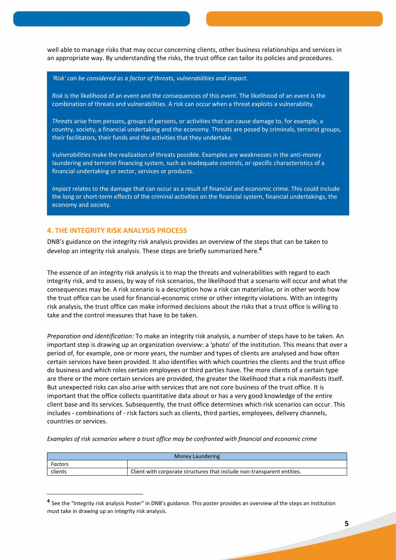well able to manage risks that may occur concerning clients, other business relationships and services in an appropriate way. By understanding the risks, the trust office can tailor its policies and procedures.

*'Risk' can be considered as a factor of threats, vulnerabilities and impact.*

*Risk* is the likelihood of an event and the consequences of this event. The likelihood of an event is the combination of threats and vulnerabilities. A risk can occur when a threat exploits a vulnerability.

*Threats* arise from persons, groups of persons, or activities that can cause damage to, for example, a country, society, a financial undertaking and the economy. Threats are posed by criminals, terrorist groups, their facilitators, their funds and the activities that they undertake.

*Vulnerabilities* make the realization of threats possible. Examples are weaknesses in the anti-money laundering and terrorist financing system, such as inadequate controls, or specific characteristics of a financial undertaking or sector, services or products.

*Impact* relates to the damage that can occur as a result of financial and economic crime. This could include the long or short-term effects of the criminal activities on the financial system, financial undertakings, the economy and society.

### **4. THE INTEGRITY RISK ANALYSIS PROCESS**

-

DNB's guidance on the integrity risk analysis provides an overview of the steps that can be taken to develop an integrity risk analysis. These steps are briefly summarized here.**<sup>4</sup>**

The essence of an integrity risk analysis is to map the threats and vulnerabilities with regard to each integrity risk, and to assess, by way of risk scenarios, the likelihood that a scenario will occur and what the consequences may be. A risk scenario is a description how a risk can materialise, or in other words how the trust office can be used for financial-economic crime or other integrity violations. With an integrity risk analysis, the trust office can make informed decisions about the risks that a trust office is willing to take and the control measures that have to be taken.

*Preparation and identification:* To make an integrity risk analysis, a number of steps have to be taken. An important step is drawing up an organization overview: a 'photo' of the institution. This means that over a period of, for example, one or more years, the number and types of clients are analysed and how often certain services have been provided. It also identifies with which countries the clients and the trust office do business and which roles certain employees or third parties have. The more clients of a certain type are there or the more certain services are provided, the greater the likelihood that a risk manifests itself. But unexpected risks can also arise with services that are not core business of the trust office. It is important that the office collects quantitative data about or has a very good knowledge of the entire client base and its services. Subsequently, the trust office determines which risk scenarios can occur. This includes - combinations of - risk factors such as clients, third parties, employees, delivery channels, countries or services.

*Examples of risk scenarios where a trust office may be confronted with financial and economic crime*

| Money Laundering |                                                                         |  |
|------------------|-------------------------------------------------------------------------|--|
| Factors          |                                                                         |  |
| clients          | Client with corporate structures that include non-transparent entities. |  |

**<sup>4</sup>** See the "Integrity risk analysis Poster" in DNB's guidance. This poster provides an overview of the steps an institution must take in drawing up an integrity risk analysis.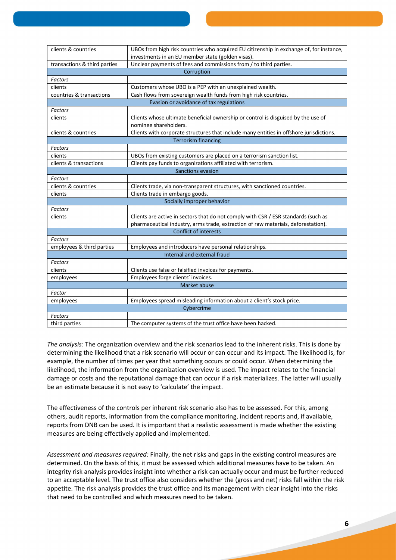| clients & countries                     | UBOs from high risk countries who acquired EU citizenship in exchange of, for instance,                    |  |  |  |
|-----------------------------------------|------------------------------------------------------------------------------------------------------------|--|--|--|
|                                         | investments in an EU member state (golden visas).                                                          |  |  |  |
| transactions & third parties            | Unclear payments of fees and commissions from / to third parties.                                          |  |  |  |
|                                         | Corruption                                                                                                 |  |  |  |
| <b>Factors</b>                          |                                                                                                            |  |  |  |
| clients                                 | Customers whose UBO is a PEP with an unexplained wealth.                                                   |  |  |  |
| countries & transactions                | Cash flows from sovereign wealth funds from high risk countries.                                           |  |  |  |
| Evasion or avoidance of tax regulations |                                                                                                            |  |  |  |
| <b>Factors</b>                          |                                                                                                            |  |  |  |
| clients                                 | Clients whose ultimate beneficial ownership or control is disguised by the use of<br>nominee shareholders. |  |  |  |
| clients & countries                     | Clients with corporate structures that include many entities in offshore jurisdictions.                    |  |  |  |
| <b>Terrorism financing</b>              |                                                                                                            |  |  |  |
| <b>Factors</b>                          |                                                                                                            |  |  |  |
| clients                                 | UBOs from existing customers are placed on a terrorism sanction list.                                      |  |  |  |
| clients & transactions                  | Clients pay funds to organizations affiliated with terrorism.                                              |  |  |  |
| Sanctions evasion                       |                                                                                                            |  |  |  |
| Factors                                 |                                                                                                            |  |  |  |
| clients & countries                     | Clients trade, via non-transparent structures, with sanctioned countries.                                  |  |  |  |
| clients                                 | Clients trade in embargo goods.                                                                            |  |  |  |
| Socially improper behavior              |                                                                                                            |  |  |  |
| Factors                                 |                                                                                                            |  |  |  |
| clients                                 | Clients are active in sectors that do not comply with CSR / ESR standards (such as                         |  |  |  |
|                                         | pharmaceutical industry, arms trade, extraction of raw materials, deforestation).                          |  |  |  |
| Conflict of interests                   |                                                                                                            |  |  |  |
| Factors                                 |                                                                                                            |  |  |  |
| employees & third parties               | Employees and introducers have personal relationships.                                                     |  |  |  |
|                                         | Internal and external fraud                                                                                |  |  |  |
| Factors                                 |                                                                                                            |  |  |  |
| clients                                 | Clients use false or falsified invoices for payments.                                                      |  |  |  |
| employees                               | Employees forge clients' invoices.                                                                         |  |  |  |
| Market abuse                            |                                                                                                            |  |  |  |
| Factor                                  |                                                                                                            |  |  |  |
| employees                               | Employees spread misleading information about a client's stock price.                                      |  |  |  |
| Cybercrime                              |                                                                                                            |  |  |  |
| Factors                                 |                                                                                                            |  |  |  |
| third parties                           | The computer systems of the trust office have been hacked.                                                 |  |  |  |

*The analysis:* The organization overview and the risk scenarios lead to the inherent risks. This is done by determining the likelihood that a risk scenario will occur or can occur and its impact. The likelihood is, for example, the number of times per year that something occurs or could occur. When determining the likelihood, the information from the organization overview is used. The impact relates to the financial damage or costs and the reputational damage that can occur if a risk materializes. The latter will usually be an estimate because it is not easy to 'calculate' the impact.

The effectiveness of the controls per inherent risk scenario also has to be assessed. For this, among others, audit reports, information from the compliance monitoring, incident reports and, if available, reports from DNB can be used. It is important that a realistic assessment is made whether the existing measures are being effectively applied and implemented.

*Assessment and measures required:* Finally, the net risks and gaps in the existing control measures are determined. On the basis of this, it must be assessed which additional measures have to be taken. An integrity risk analysis provides insight into whether a risk can actually occur and must be further reduced to an acceptable level. The trust office also considers whether the (gross and net) risks fall within the risk appetite. The risk analysis provides the trust office and its management with clear insight into the risks that need to be controlled and which measures need to be taken.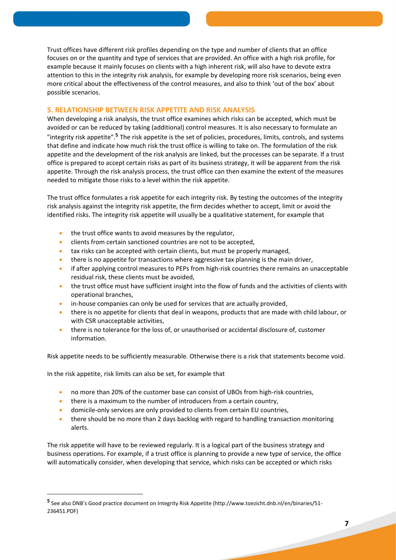Trust offices have different risk profiles depending on the type and number of clients that an office focuses on or the quantity and type of services that are provided. An office with a high risk profile, for example because it mainly focuses on clients with a high inherent risk, will also have to devote extra attention to this in the integrity risk analysis, for example by developing more risk scenarios, being even more critical about the effectiveness of the control measures, and also to think 'out of the box' about possible scenarios.

#### **5. RELATIONSHIP BETWEEN RISK APPETITE AND RISK ANALYSIS**

When developing a risk analysis, the trust office examines which risks can be accepted, which must be avoided or can be reduced by taking (additional) control measures. It is also necessary to formulate an "integrity risk appetite".<sup>5</sup> The risk appetite is the set of policies, procedures, limits, controls, and systems that define and indicate how much risk the trust office is willing to take on. The formulation of the risk appetite and the development of the risk analysis are linked, but the processes can be separate. If a trust office is prepared to accept certain risks as part of its business strategy, it will be apparent from the risk appetite. Through the risk analysis process, the trust office can then examine the extent of the measures needed to mitigate those risks to a level within the risk appetite.

The trust office formulates a risk appetite for each integrity risk. By testing the outcomes of the integrity risk analysis against the integrity risk appetite, the firm decides whether to accept, limit or avoid the identified risks. The integrity risk appetite will usually be a qualitative statement, for example that

- **the trust office wants to avoid measures by the regulator,**
- clients from certain sanctioned countries are not to be accepted,
- tax risks can be accepted with certain clients, but must be properly managed,
- there is no appetite for transactions where aggressive tax planning is the main driver,
- if after applying control measures to PEPs from high-risk countries there remains an unacceptable residual risk, these clients must be avoided,
- the trust office must have sufficient insight into the flow of funds and the activities of clients with operational branches,
- in-house companies can only be used for services that are actually provided,
- there is no appetite for clients that deal in weapons, products that are made with child labour, or with CSR unacceptable activities,
- there is no tolerance for the loss of, or unauthorised or accidental disclosure of, customer information.

Risk appetite needs to be sufficiently measurable. Otherwise there is a risk that statements become void.

In the risk appetite, risk limits can also be set, for example that

-

- no more than 20% of the customer base can consist of UBOs from high-risk countries,
- there is a maximum to the number of introducers from a certain country,
- domicile-only services are only provided to clients from certain EU countries,
- there should be no more than 2 days backlog with regard to handling transaction monitoring alerts.

The risk appetite will have to be reviewed regularly. It is a logical part of the business strategy and business operations. For example, if a trust office is planning to provide a new type of service, the office will automatically consider, when developing that service, which risks can be accepted or which risks

**<sup>5</sup>** See also DNB's Good practice document on Integrity Risk Appetite (http://www.toezicht.dnb.nl/en/binaries/51- 236451.PDF)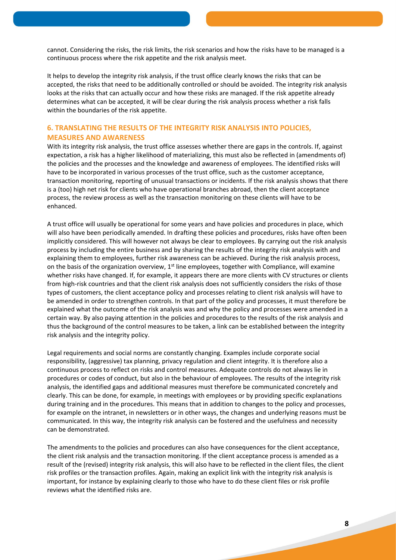cannot. Considering the risks, the risk limits, the risk scenarios and how the risks have to be managed is a continuous process where the risk appetite and the risk analysis meet.

It helps to develop the integrity risk analysis, if the trust office clearly knows the risks that can be accepted, the risks that need to be additionally controlled or should be avoided. The integrity risk analysis looks at the risks that can actually occur and how these risks are managed. If the risk appetite already determines what can be accepted, it will be clear during the risk analysis process whether a risk falls within the boundaries of the risk appetite.

### **6. TRANSLATING THE RESULTS OF THE INTEGRITY RISK ANALYSIS INTO POLICIES, MEASURES AND AWARENESS**

With its integrity risk analysis, the trust office assesses whether there are gaps in the controls. If, against expectation, a risk has a higher likelihood of materializing, this must also be reflected in (amendments of) the policies and the processes and the knowledge and awareness of employees. The identified risks will have to be incorporated in various processes of the trust office, such as the customer acceptance, transaction monitoring, reporting of unusual transactions or incidents. If the risk analysis shows that there is a (too) high net risk for clients who have operational branches abroad, then the client acceptance process, the review process as well as the transaction monitoring on these clients will have to be enhanced.

A trust office will usually be operational for some years and have policies and procedures in place, which will also have been periodically amended. In drafting these policies and procedures, risks have often been implicitly considered. This will however not always be clear to employees. By carrying out the risk analysis process by including the entire business and by sharing the results of the integrity risk analysis with and explaining them to employees, further risk awareness can be achieved. During the risk analysis process, on the basis of the organization overview,  $1<sup>st</sup>$  line employees, together with Compliance, will examine whether risks have changed. If, for example, it appears there are more clients with CV structures or clients from high-risk countries and that the client risk analysis does not sufficiently considers the risks of those types of customers, the client acceptance policy and processes relating to client risk analysis will have to be amended in order to strengthen controls. In that part of the policy and processes, it must therefore be explained what the outcome of the risk analysis was and why the policy and processes were amended in a certain way. By also paying attention in the policies and procedures to the results of the risk analysis and thus the background of the control measures to be taken, a link can be established between the integrity risk analysis and the integrity policy.

Legal requirements and social norms are constantly changing. Examples include corporate social responsibility, (aggressive) tax planning, privacy regulation and client integrity. It is therefore also a continuous process to reflect on risks and control measures. Adequate controls do not always lie in procedures or codes of conduct, but also in the behaviour of employees. The results of the integrity risk analysis, the identified gaps and additional measures must therefore be communicated concretely and clearly. This can be done, for example, in meetings with employees or by providing specific explanations during training and in the procedures. This means that in addition to changes to the policy and processes, for example on the intranet, in newsletters or in other ways, the changes and underlying reasons must be communicated. In this way, the integrity risk analysis can be fostered and the usefulness and necessity can be demonstrated.

The amendments to the policies and procedures can also have consequences for the client acceptance, the client risk analysis and the transaction monitoring. If the client acceptance process is amended as a result of the (revised) integrity risk analysis, this will also have to be reflected in the client files, the client risk profiles or the transaction profiles. Again, making an explicit link with the integrity risk analysis is important, for instance by explaining clearly to those who have to do these client files or risk profile reviews what the identified risks are.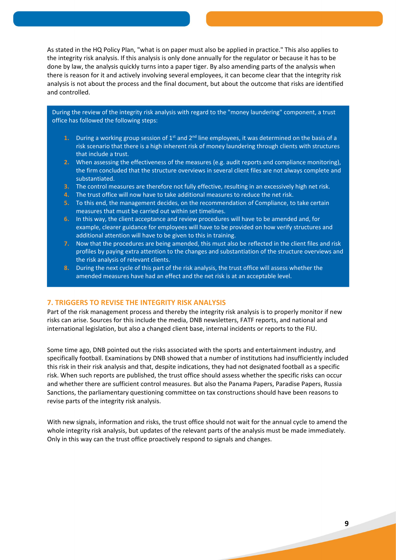As stated in the HQ Policy Plan, "what is on paper must also be applied in practice." This also applies to the integrity risk analysis. If this analysis is only done annually for the regulator or because it has to be done by law, the analysis quickly turns into a paper tiger. By also amending parts of the analysis when there is reason for it and actively involving several employees, it can become clear that the integrity risk analysis is not about the process and the final document, but about the outcome that risks are identified and controlled.

During the review of the integrity risk analysis with regard to the "money laundering" component, a trust office has followed the following steps:

- **1.** During a working group session of  $1<sup>st</sup>$  and  $2<sup>nd</sup>$  line employees, it was determined on the basis of a risk scenario that there is a high inherent risk of money laundering through clients with structures that include a trust.
- **2.** When assessing the effectiveness of the measures (e.g. audit reports and compliance monitoring), the firm concluded that the structure overviews in several client files are not always complete and substantiated.
- **3.** The control measures are therefore not fully effective, resulting in an excessively high net risk.
- **4.** The trust office will now have to take additional measures to reduce the net risk.
- **5.** To this end, the management decides, on the recommendation of Compliance, to take certain measures that must be carried out within set timelines.
- **6.** In this way, the client acceptance and review procedures will have to be amended and, for example, clearer guidance for employees will have to be provided on how verify structures and additional attention will have to be given to this in training.
- **7.** Now that the procedures are being amended, this must also be reflected in the client files and risk profiles by paying extra attention to the changes and substantiation of the structure overviews and the risk analysis of relevant clients.
- 8. During the next cycle of this part of the risk analysis, the trust office will assess whether the amended measures have had an effect and the net risk is at an acceptable level.

### **7. TRIGGERS TO REVISE THE INTEGRITY RISK ANALYSIS**

Part of the risk management process and thereby the integrity risk analysis is to properly monitor if new risks can arise. Sources for this include the media, DNB newsletters, FATF reports, and national and international legislation, but also a changed client base, internal incidents or reports to the FIU.

Some time ago, DNB pointed out the risks associated with the sports and entertainment industry, and specifically football. Examinations by DNB showed that a number of institutions had insufficiently included this risk in their risk analysis and that, despite indications, they had not designated football as a specific risk. When such reports are published, the trust office should assess whether the specific risks can occur and whether there are sufficient control measures. But also the Panama Papers, Paradise Papers, Russia Sanctions, the parliamentary questioning committee on tax constructions should have been reasons to revise parts of the integrity risk analysis.

With new signals, information and risks, the trust office should not wait for the annual cycle to amend the whole integrity risk analysis, but updates of the relevant parts of the analysis must be made immediately. Only in this way can the trust office proactively respond to signals and changes.